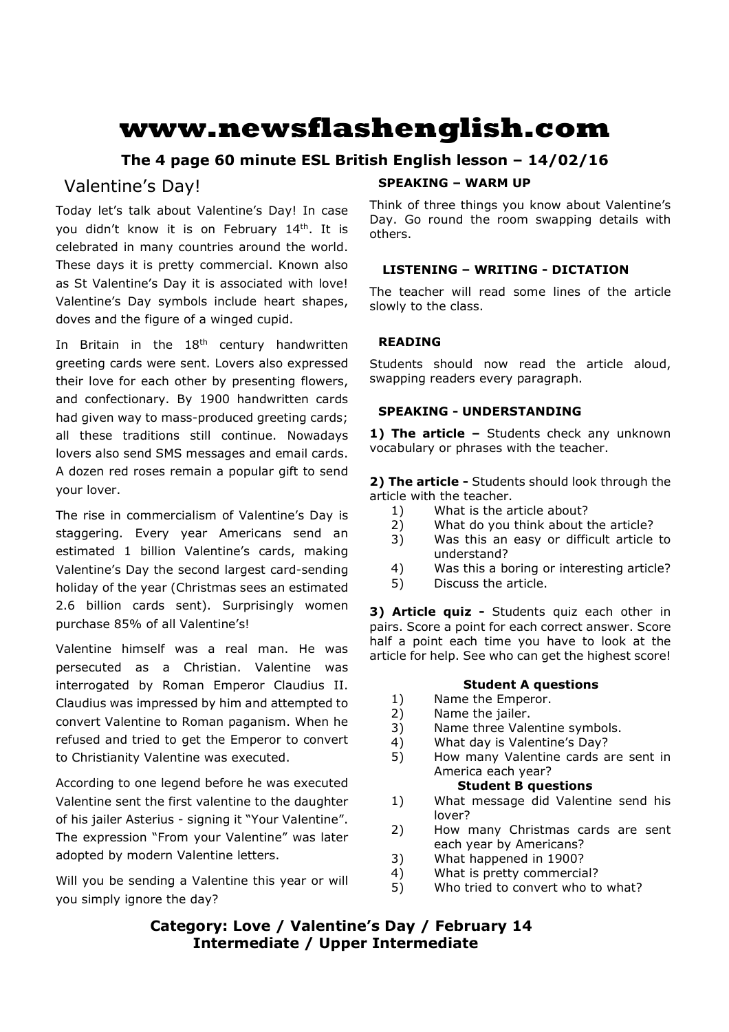# **www.newsflashenglish.com**

# **The 4 page 60 minute ESL British English lesson – 14/02/16**

# Valentine's Day!

Today let's talk about Valentine's Day! In case you didn't know it is on February 14<sup>th</sup>. It is celebrated in many countries around the world. These days it is pretty commercial. Known also as St Valentine's Day it is associated with love! Valentine's Day symbols include heart shapes, doves and the figure of a winged cupid.

In Britain in the  $18<sup>th</sup>$  century handwritten greeting cards were sent. Lovers also expressed their love for each other by presenting flowers, and confectionary. By 1900 handwritten cards had given way to mass-produced greeting cards; all these traditions still continue. Nowadays lovers also send SMS messages and email cards. A dozen red roses remain a popular gift to send your lover.

The rise in commercialism of Valentine's Day is staggering. Every year Americans send an estimated 1 billion Valentine's cards, making Valentine's Day the second largest card-sending holiday of the year (Christmas sees an estimated 2.6 billion cards sent). Surprisingly women purchase 85% of all Valentine's!

Valentine himself was a real man. He was persecuted as a Christian. Valentine was interrogated by Roman Emperor Claudius II. Claudius was impressed by him and attempted to convert Valentine to Roman paganism. When he refused and tried to get the Emperor to convert to Christianity Valentine was executed.

According to one legend before he was executed Valentine sent the first valentine to the daughter of his jailer Asterius - signing it "Your Valentine". The expression "From your Valentine" was later adopted by modern Valentine letters.

Will you be sending a Valentine this year or will you simply ignore the day?

### **SPEAKING – WARM UP**

Think of three things you know about Valentine's Day. Go round the room swapping details with others.

### **LISTENING – WRITING - DICTATION**

The teacher will read some lines of the article slowly to the class.

### **READING**

Students should now read the article aloud, swapping readers every paragraph.

#### **SPEAKING - UNDERSTANDING**

1) The article - Students check any unknown vocabulary or phrases with the teacher.

**2) The article -** Students should look through the article with the teacher.

- 1) What is the article about?
- 2) What do you think about the article?
- 3) Was this an easy or difficult article to understand?
- 4) Was this a boring or interesting article?
- 5) Discuss the article.

**3) Article quiz -** Students quiz each other in pairs. Score a point for each correct answer. Score half a point each time you have to look at the article for help. See who can get the highest score!

#### **Student A questions**

- 1) Name the Emperor.
- 2) Name the jailer.
- 3) Name three Valentine symbols.
- 4) What day is Valentine's Day?
- 5) How many Valentine cards are sent in America each year?

#### **Student B questions**

- 1) What message did Valentine send his lover?
- 2) How many Christmas cards are sent each year by Americans?
- 3) What happened in 1900?
- 4) What is pretty commercial?
- 5) Who tried to convert who to what?

# **Category: Love / Valentine's Day / February 14 Intermediate / Upper Intermediate**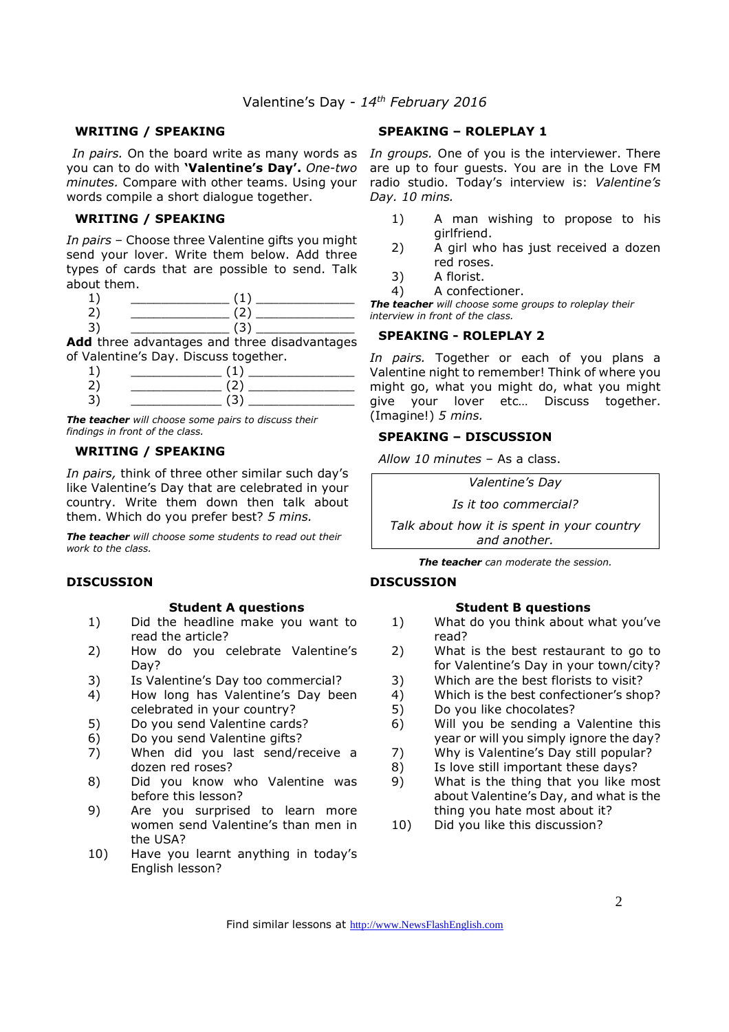#### **WRITING / SPEAKING**

you can to do with **'Valentine's Day'.** *One-two minutes.* Compare with other teams. Using your words compile a short dialogue together.

#### **WRITING / SPEAKING**

*In pairs* – Choose three Valentine gifts you might send your lover. Write them below. Add three types of cards that are possible to send. Talk about them.

2) \_\_\_\_\_\_\_\_\_\_\_\_\_ (2) \_\_\_\_\_\_\_\_\_\_\_\_\_  $3) \qquad \qquad (3)$ 

**Add** three advantages and three disadvantages of Valentine's Day. Discuss together.

*The teacher will choose some pairs to discuss their findings in front of the class.* 

#### **WRITING / SPEAKING**

*In pairs,* think of three other similar such day's like Valentine's Day that are celebrated in your country. Write them down then talk about them. Which do you prefer best? *5 mins.*

*The teacher will choose some students to read out their work to the class.* 

#### **DISCUSSION**

#### **Student A questions**

- 1) Did the headline make you want to read the article?
- 2) How do you celebrate Valentine's Day?
- 3) Is Valentine's Day too commercial?
- 4) How long has Valentine's Day been celebrated in your country?
- 5) Do you send Valentine cards?
- 6) Do you send Valentine gifts?
- 7) When did you last send/receive a dozen red roses?
- 8) Did you know who Valentine was before this lesson?
- 9) Are you surprised to learn more women send Valentine's than men in the USA?
- 10) Have you learnt anything in today's English lesson?

#### **SPEAKING – ROLEPLAY 1**

In pairs. On the board write as many words as In groups. One of you is the interviewer. There are up to four guests. You are in the Love FM radio studio. Today's interview is: *Valentine's Day. 10 mins.* 

- 1) A man wishing to propose to his girlfriend.
- 2) A girl who has just received a dozen red roses.
- 3) A florist.
- 4) A confectioner.

*The teacher will choose some groups to roleplay their interview in front of the class.* 

#### **SPEAKING - ROLEPLAY 2**

*In pairs.* Together or each of you plans a Valentine night to remember! Think of where you might go, what you might do, what you might give your lover etc… Discuss together. (Imagine!) *5 mins.* 

#### **SPEAKING – DISCUSSION**

*Allow 10 minutes* – As a class.

*Valentine's Day* 

*Is it too commercial?* 

*Talk about how it is spent in your country and another.*

*The teacher can moderate the session.*

#### **DISCUSSION**

#### **Student B questions**

- 1) What do you think about what you've read?
- 2) What is the best restaurant to go to for Valentine's Day in your town/city?
- 3) Which are the best florists to visit?
- 4) Which is the best confectioner's shop?
- 5) Do you like chocolates?
- 6) Will you be sending a Valentine this year or will you simply ignore the day?
- 7) Why is Valentine's Day still popular?
- 8) Is love still important these days?
- 9) What is the thing that you like most about Valentine's Day, and what is the thing you hate most about it?
- 10) Did you like this discussion?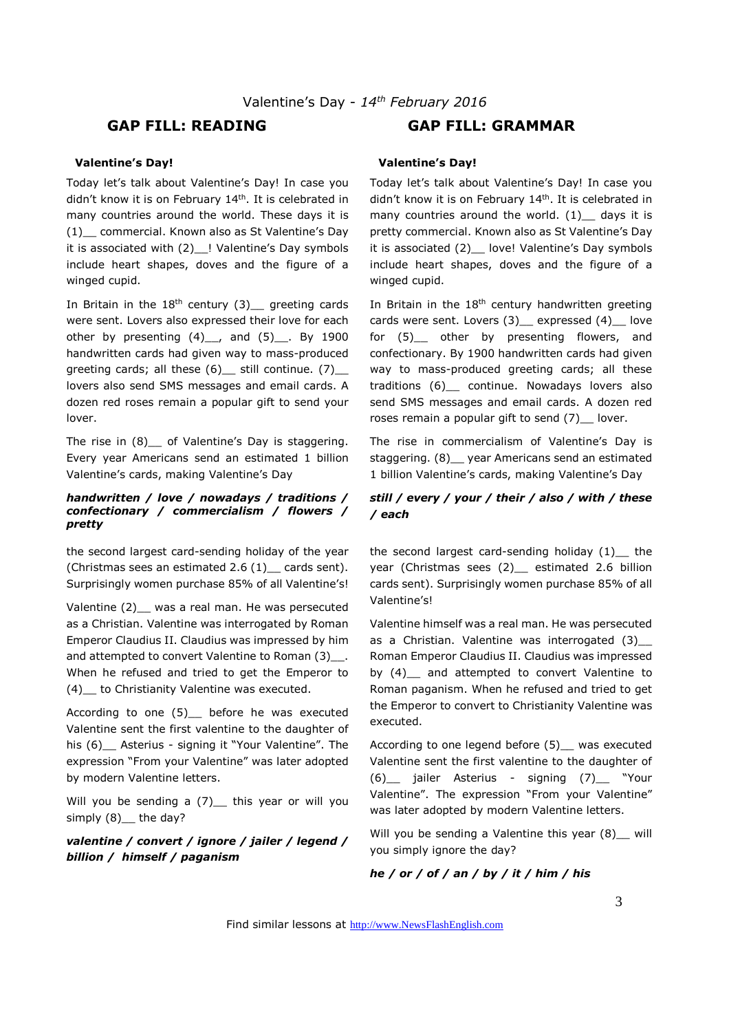## **GAP FILL: READING GAP FILL: GRAMMAR**

#### **Valentine's Day!**

Today let's talk about Valentine's Day! In case you didn't know it is on February 14<sup>th</sup>. It is celebrated in many countries around the world. These days it is (1)\_\_ commercial. Known also as St Valentine's Day it is associated with (2) ! Valentine's Day symbols include heart shapes, doves and the figure of a winged cupid.

In Britain in the  $18<sup>th</sup>$  century (3) greeting cards were sent. Lovers also expressed their love for each other by presenting  $(4)$ , and  $(5)$ , By 1900 handwritten cards had given way to mass-produced greeting cards; all these (6) still continue. (7) lovers also send SMS messages and email cards. A dozen red roses remain a popular gift to send your lover.

The rise in (8) of Valentine's Day is staggering. Every year Americans send an estimated 1 billion Valentine's cards, making Valentine's Day

#### *handwritten / love / nowadays / traditions / confectionary / commercialism / flowers / pretty*

the second largest card-sending holiday of the year (Christmas sees an estimated 2.6  $(1)$  cards sent). Surprisingly women purchase 85% of all Valentine's!

Valentine (2) was a real man. He was persecuted as a Christian. Valentine was interrogated by Roman Emperor Claudius II. Claudius was impressed by him and attempted to convert Valentine to Roman (3) . When he refused and tried to get the Emperor to (4)\_\_ to Christianity Valentine was executed.

According to one (5)\_\_ before he was executed Valentine sent the first valentine to the daughter of his (6) Asterius - signing it "Your Valentine". The expression "From your Valentine" was later adopted by modern Valentine letters.

Will you be sending a  $(7)$  this year or will you simply (8) the day?

*valentine / convert / ignore / jailer / legend / billion / himself / paganism*

#### **Valentine's Day!**

Today let's talk about Valentine's Day! In case you didn't know it is on February 14<sup>th</sup>. It is celebrated in many countries around the world.  $(1)$  days it is pretty commercial. Known also as St Valentine's Day it is associated (2) love! Valentine's Day symbols include heart shapes, doves and the figure of a winged cupid.

In Britain in the  $18<sup>th</sup>$  century handwritten greeting cards were sent. Lovers (3) expressed (4) love for (5)\_\_ other by presenting flowers, and confectionary. By 1900 handwritten cards had given way to mass-produced greeting cards; all these traditions (6)\_\_ continue. Nowadays lovers also send SMS messages and email cards. A dozen red roses remain a popular gift to send (7)\_ lover.

The rise in commercialism of Valentine's Day is staggering. (8)\_\_ year Americans send an estimated 1 billion Valentine's cards, making Valentine's Day

#### *still / every / your / their / also / with / these / each*

the second largest card-sending holiday  $(1)$  the year (Christmas sees (2)\_ estimated 2.6 billion cards sent). Surprisingly women purchase 85% of all Valentine's!

Valentine himself was a real man. He was persecuted as a Christian. Valentine was interrogated (3) Roman Emperor Claudius II. Claudius was impressed by (4) and attempted to convert Valentine to Roman paganism. When he refused and tried to get the Emperor to convert to Christianity Valentine was executed.

According to one legend before (5) was executed Valentine sent the first valentine to the daughter of (6)\_\_ jailer Asterius - signing (7)\_\_ "Your Valentine". The expression "From your Valentine" was later adopted by modern Valentine letters.

Will you be sending a Valentine this year (8) \_ will you simply ignore the day?

#### *he / or / of / an / by / it / him / his*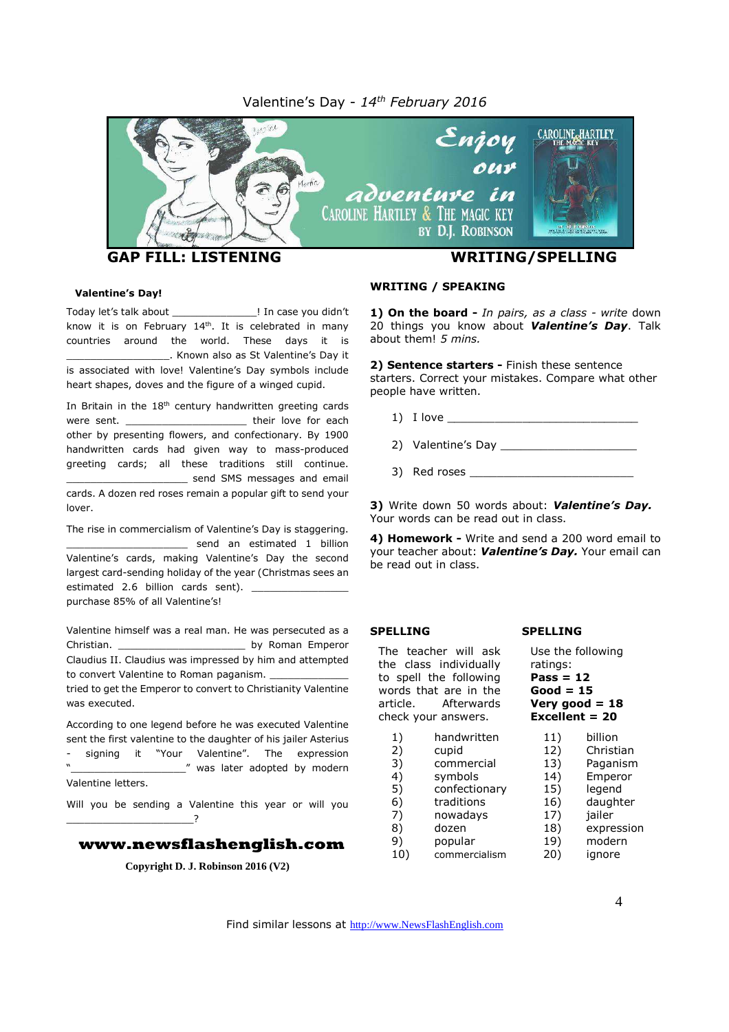#### Valentine's Day - *14 th February 2016*



#### **Valentine's Day!**

Today let's talk about [11] In case you didn't know it is on February  $14<sup>th</sup>$ . It is celebrated in many countries around the world. These days it is \_\_\_\_\_\_\_\_\_\_\_\_\_\_\_\_\_. Known also as St Valentine's Day it is associated with love! Valentine's Day symbols include heart shapes, doves and the figure of a winged cupid.

In Britain in the 18<sup>th</sup> century handwritten greeting cards were sent. \_\_\_\_\_\_\_\_\_\_\_\_\_\_\_\_\_\_\_\_\_\_\_\_\_\_ their love for each other by presenting flowers, and confectionary. By 1900 handwritten cards had given way to mass-produced greeting cards; all these traditions still continue. send SMS messages and email cards. A dozen red roses remain a popular gift to send your lover

The rise in commercialism of Valentine's Day is staggering. \_\_\_\_\_\_\_\_\_\_\_\_\_\_\_\_\_\_\_\_ send an estimated 1 billion Valentine's cards, making Valentine's Day the second largest card-sending holiday of the year (Christmas sees an estimated 2.6 billion cards sent). purchase 85% of all Valentine's!

Valentine himself was a real man. He was persecuted as a Christian. \_\_\_\_\_\_\_\_\_\_\_\_\_\_\_\_\_\_\_\_\_ by Roman Emperor Claudius II. Claudius was impressed by him and attempted to convert Valentine to Roman paganism. tried to get the Emperor to convert to Christianity Valentine

was executed.

According to one legend before he was executed Valentine sent the first valentine to the daughter of his jailer Asterius signing it "Your Valentine". The expression was later adopted by modern Valentine letters.

Will you be sending a Valentine this year or will you

\_\_\_\_\_\_\_\_\_\_\_\_\_\_\_\_\_\_\_\_\_?

#### **www.newsflashenglish.com**

**Copyright D. J. Robinson 2016 (V2)**

#### **WRITING / SPEAKING**

**1) On the board -** *In pairs, as a class - write* down 20 things you know about *Valentine's Day*. Talk about them! *5 mins.*

**2) Sentence starters -** Finish these sentence starters. Correct your mistakes. Compare what other people have written.

1) I love \_\_\_\_\_\_\_\_\_\_\_\_\_\_\_\_\_\_\_\_\_\_\_\_\_\_\_\_

2) Valentine's Day

3) Red roses \_\_\_\_\_\_\_\_\_\_\_\_\_\_\_\_\_\_\_\_\_\_\_\_

**3)** Write down 50 words about: *Valentine's Day.* Your words can be read out in class.

**4) Homework -** Write and send a 200 word email to your teacher about: *Valentine's Day.* Your email can be read out in class.

**SPELLING**

ratings: **Pass = 12 Good = 15 Very good = 18 Excellent = 20**

Use the following

#### **SPELLING**

The teacher will ask the class individually to spell the following words that are in the article. Afterwards check your answers.

| 1)  | handwritten   | 11) | billion    |
|-----|---------------|-----|------------|
| 2)  | cupid         | 12) | Christian  |
| 3)  | commercial    | 13) | Paganism   |
| 4)  | symbols       | 14) | Emperor    |
| 5)  | confectionary | 15) | legend     |
| 6)  | traditions    | 16) | daughter   |
| 7)  | nowadays      | 17) | jailer     |
| 8)  | dozen         | 18) | expression |
| 9)  | popular       | 19) | modern     |
| 10) | commercialism | 20) | ignore     |
|     |               |     |            |

Find similar lessons at http://www.NewsFlashEnglish.com